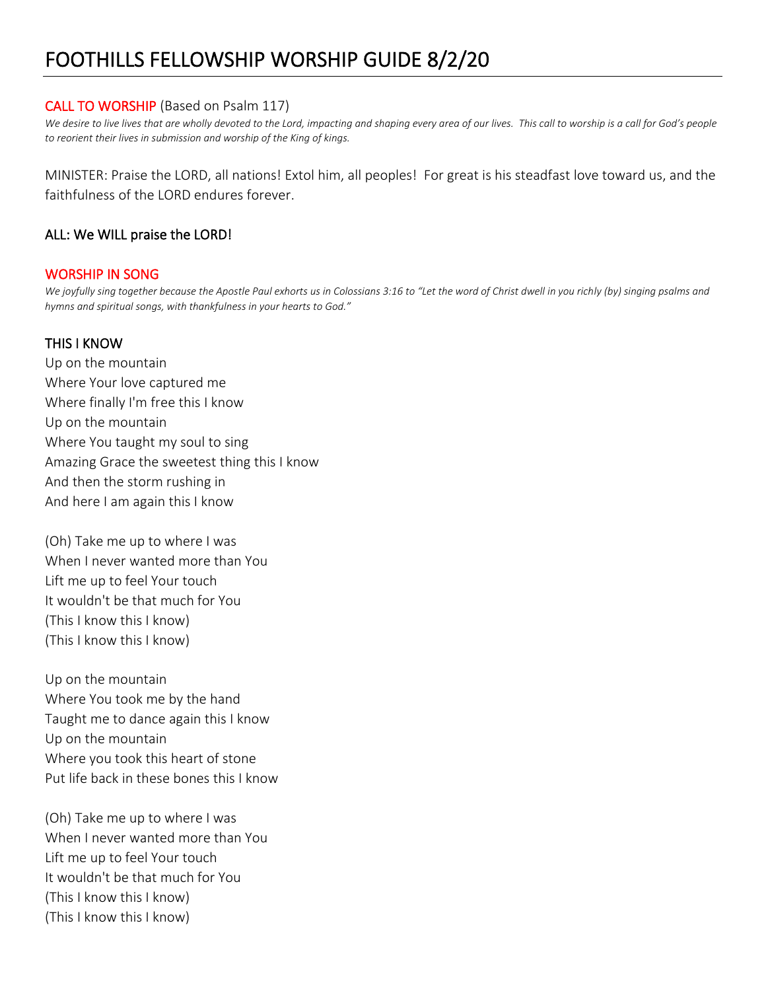# FOOTHILLS FELLOWSHIP WORSHIP GUIDE 8/2/20

## CALL TO WORSHIP (Based on Psalm 117)

*We desire to live lives that are wholly devoted to the Lord, impacting and shaping every area of our lives. This call to worship is a call for God's people to reorient their lives in submission and worship of the King of kings.*

MINISTER: Praise the LORD, all nations! Extol him, all peoples! For great is his steadfast love toward us, and the faithfulness of the LORD endures forever.

## ALL: We WILL praise the LORD!

#### WORSHIP IN SONG

*We joyfully sing together because the Apostle Paul exhorts us in Colossians 3:16 to "Let the word of Christ dwell in you richly (by) singing psalms and hymns and spiritual songs, with thankfulness in your hearts to God."*

## THIS I KNOW

Up on the mountain Where Your love captured me Where finally I'm free this I know Up on the mountain Where You taught my soul to sing Amazing Grace the sweetest thing this I know And then the storm rushing in And here I am again this I know

(Oh) Take me up to where I was When I never wanted more than You Lift me up to feel Your touch It wouldn't be that much for You (This I know this I know) (This I know this I know)

Up on the mountain Where You took me by the hand Taught me to dance again this I know Up on the mountain Where you took this heart of stone Put life back in these bones this I know

(Oh) Take me up to where I was When I never wanted more than You Lift me up to feel Your touch It wouldn't be that much for You (This I know this I know) (This I know this I know)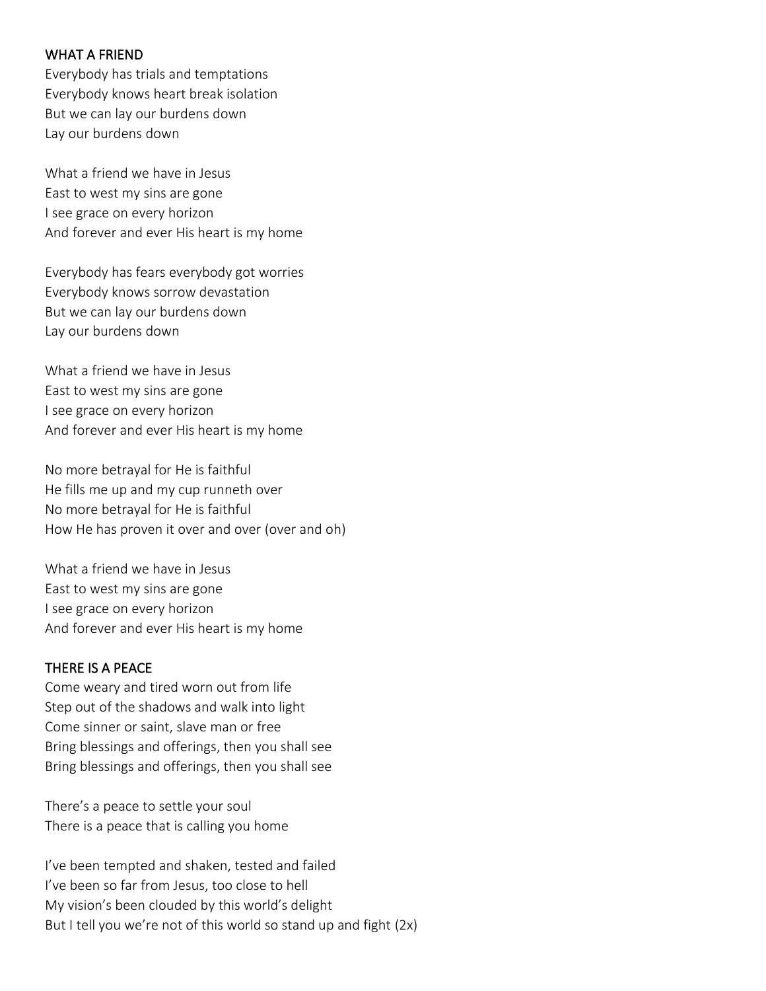## WHAT A FRIEND

Everybody has trials and temptations Everybody knows heart break isolation But we can lay our burdens down Lay our burdens down

What a friend we have in Jesus East to west my sins are gone I see grace on every horizon And forever and ever His heart is my home

Everybody has fears everybody got worries Everybody knows sorrow devastation But we can lay our burdens down Lay our burdens down

What a friend we have in Jesus East to west my sins are gone I see grace on every horizon And forever and ever His heart is my home

No more betrayal for He is faithful He fills me up and my cup runneth over No more betrayal for He is faithful How He has proven it over and over (over and oh)

What a friend we have in Jesus East to west my sins are gone I see grace on every horizon And forever and ever His heart is my home

# THERE IS A PEACE

Come weary and tired worn out from life Step out of the shadows and walk into light Come sinner or saint, slave man or free Bring blessings and offerings, then you shall see Bring blessings and offerings, then you shall see

There's a peace to settle your soul There is a peace that is calling you home

I've been tempted and shaken, tested and failed I've been so far from Jesus, too close to hell My vision's been clouded by this world's delight But I tell you we're not of this world so stand up and fight (2x)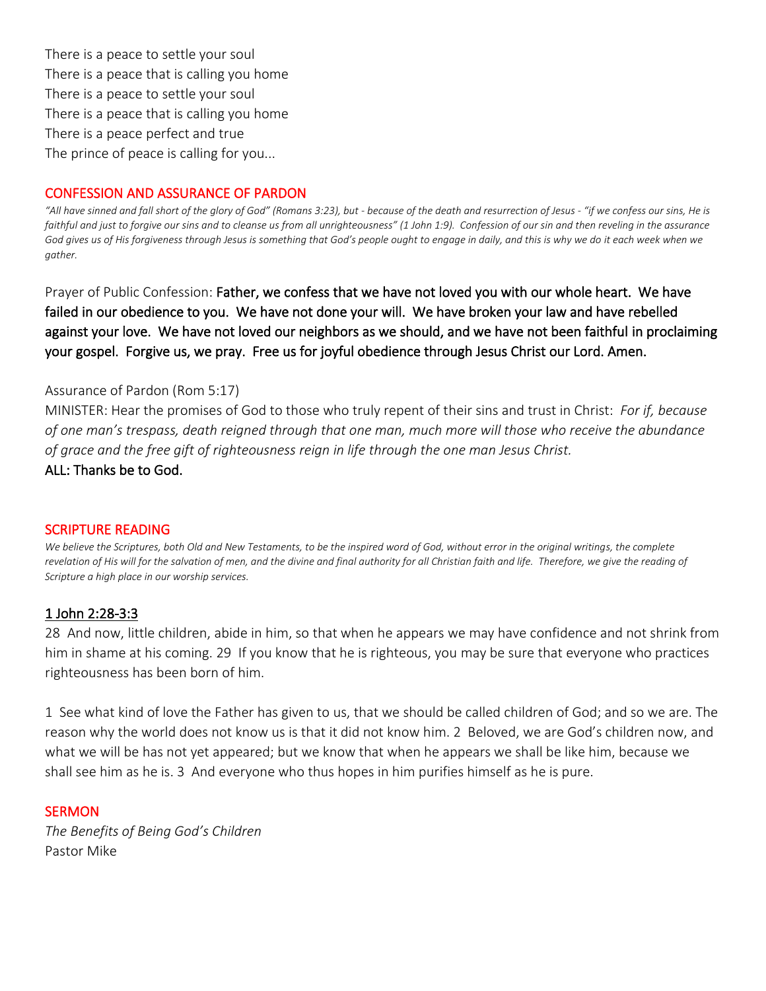There is a peace to settle your soul There is a peace that is calling you home There is a peace to settle your soul There is a peace that is calling you home There is a peace perfect and true The prince of peace is calling for you...

## CONFESSION AND ASSURANCE OF PARDON

"All have sinned and fall short of the glory of God" (Romans 3:23), but - because of the death and resurrection of Jesus - "if we confess our sins, He is *faithful and just to forgive our sins and to cleanse us from all unrighteousness" (1 John 1:9). Confession of our sin and then reveling in the assurance*  God gives us of His forgiveness through Jesus is something that God's people ought to engage in daily, and this is why we do it each week when we *gather.*

Prayer of Public Confession: Father, we confess that we have not loved you with our whole heart. We have failed in our obedience to you. We have not done your will. We have broken your law and have rebelled against your love. We have not loved our neighbors as we should, and we have not been faithful in proclaiming your gospel. Forgive us, we pray. Free us for joyful obedience through Jesus Christ our Lord. Amen.

## Assurance of Pardon (Rom 5:17)

MINISTER: Hear the promises of God to those who truly repent of their sins and trust in Christ: *For if, because of one man's trespass, death reigned through that one man, much more will those who receive the abundance of grace and the free gift of righteousness reign in life through the one man Jesus Christ.*  ALL: Thanks be to God.

## SCRIPTURE READING

*We believe the Scriptures, both Old and New Testaments, to be the inspired word of God, without error in the original writings, the complete*  revelation of His will for the salvation of men, and the divine and final authority for all Christian faith and life. Therefore, we aive the reading of *Scripture a high place in our worship services.*

## 1 John 2:28-3:3

28 And now, little children, abide in him, so that when he appears we may have confidence and not shrink from him in shame at his coming. 29 If you know that he is righteous, you may be sure that everyone who practices righteousness has been born of him.

1 See what kind of love the Father has given to us, that we should be called children of God; and so we are. The reason why the world does not know us is that it did not know him. 2 Beloved, we are God's children now, and what we will be has not yet appeared; but we know that when he appears we shall be like him, because we shall see him as he is. 3 And everyone who thus hopes in him purifies himself as he is pure.

#### SERMON

*The Benefits of Being God's Children* Pastor Mike